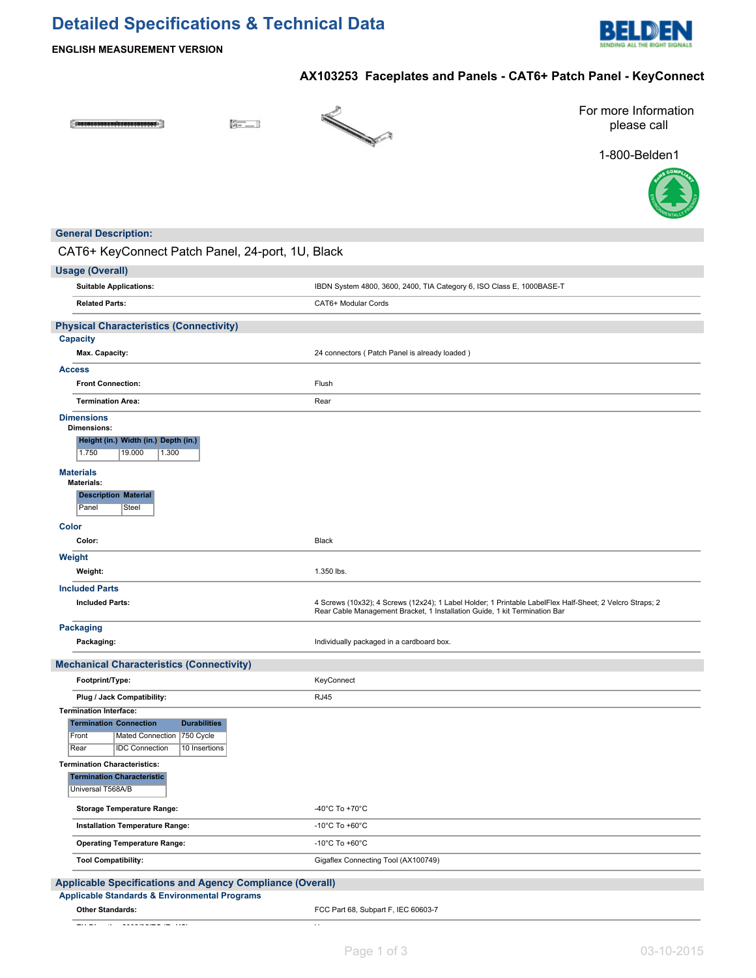# **Detailed Specifications & Technical Data**



**ENGLISH MEASUREMENT VERSION**

# **AX103253 Faceplates and Panels - CAT6+ Patch Panel - KeyConnect**

 $[$  issues accessives as a constant  $\cdot]$ 

 $F = 1$ 



For more Information please call





## **General Description:**

# CAT6+ KeyConnect Patch Panel, 24-port, 1U, Black

| <b>Usage (Overall)</b>                                                                                                                                                            |                                                                                                                                                                                        |
|-----------------------------------------------------------------------------------------------------------------------------------------------------------------------------------|----------------------------------------------------------------------------------------------------------------------------------------------------------------------------------------|
| <b>Suitable Applications:</b>                                                                                                                                                     | IBDN System 4800, 3600, 2400, TIA Category 6, ISO Class E, 1000BASE-T                                                                                                                  |
| <b>Related Parts:</b>                                                                                                                                                             | CAT6+ Modular Cords                                                                                                                                                                    |
| <b>Physical Characteristics (Connectivity)</b>                                                                                                                                    |                                                                                                                                                                                        |
| <b>Capacity</b>                                                                                                                                                                   |                                                                                                                                                                                        |
| Max. Capacity:                                                                                                                                                                    | 24 connectors ( Patch Panel is already loaded )                                                                                                                                        |
| <b>Access</b>                                                                                                                                                                     |                                                                                                                                                                                        |
| <b>Front Connection:</b>                                                                                                                                                          | Flush                                                                                                                                                                                  |
| <b>Termination Area:</b>                                                                                                                                                          | Rear                                                                                                                                                                                   |
| <b>Dimensions</b><br><b>Dimensions:</b><br>Height (in.) Width (in.) Depth (in.)<br>1.750<br>19.000<br>1.300                                                                       |                                                                                                                                                                                        |
| <b>Materials</b><br><b>Materials:</b><br><b>Description Material</b><br>Panel<br>Steel                                                                                            |                                                                                                                                                                                        |
| <b>Color</b>                                                                                                                                                                      |                                                                                                                                                                                        |
| Color:                                                                                                                                                                            | Black                                                                                                                                                                                  |
| Weight<br>Weight:                                                                                                                                                                 | 1.350 lbs.                                                                                                                                                                             |
|                                                                                                                                                                                   |                                                                                                                                                                                        |
| <b>Included Parts</b><br><b>Included Parts:</b>                                                                                                                                   | 4 Screws (10x32); 4 Screws (12x24); 1 Label Holder; 1 Printable LabelFlex Half-Sheet; 2 Velcro Straps; 2<br>Rear Cable Management Bracket, 1 Installation Guide, 1 kit Termination Bar |
| <b>Packaging</b>                                                                                                                                                                  |                                                                                                                                                                                        |
| Packaging:                                                                                                                                                                        | Individually packaged in a cardboard box.                                                                                                                                              |
| <b>Mechanical Characteristics (Connectivity)</b>                                                                                                                                  |                                                                                                                                                                                        |
| Footprint/Type:                                                                                                                                                                   | KeyConnect                                                                                                                                                                             |
| Plug / Jack Compatibility:                                                                                                                                                        | <b>RJ45</b>                                                                                                                                                                            |
| <b>Termination Interface:</b><br><b>Termination Connection</b><br><b>Durabilities</b><br>750 Cycle<br>Front<br>Mated Connection<br>Rear<br><b>IDC Connection</b><br>10 Insertions |                                                                                                                                                                                        |
| <b>Termination Characteristics:</b><br><b>Termination Characteristic</b><br>Universal T568A/B                                                                                     |                                                                                                                                                                                        |
| <b>Storage Temperature Range:</b>                                                                                                                                                 | -40 $^{\circ}$ C To +70 $^{\circ}$ C                                                                                                                                                   |
| Installation Temperature Range:                                                                                                                                                   | -10 $^{\circ}$ C To +60 $^{\circ}$ C                                                                                                                                                   |
| <b>Operating Temperature Range:</b>                                                                                                                                               | -10 $^{\circ}$ C To +60 $^{\circ}$ C                                                                                                                                                   |
| <b>Tool Compatibility:</b>                                                                                                                                                        | Gigaflex Connecting Tool (AX100749)                                                                                                                                                    |
| <b>Applicable Specifications and Agency Compliance (Overall)</b>                                                                                                                  |                                                                                                                                                                                        |
| Applicable Standards & Environmental Programs                                                                                                                                     |                                                                                                                                                                                        |
| <b>Other Standards:</b>                                                                                                                                                           | FCC Part 68, Subpart F, IEC 60603-7                                                                                                                                                    |
| $-1 - 1$                                                                                                                                                                          | $\sim$ $\epsilon$                                                                                                                                                                      |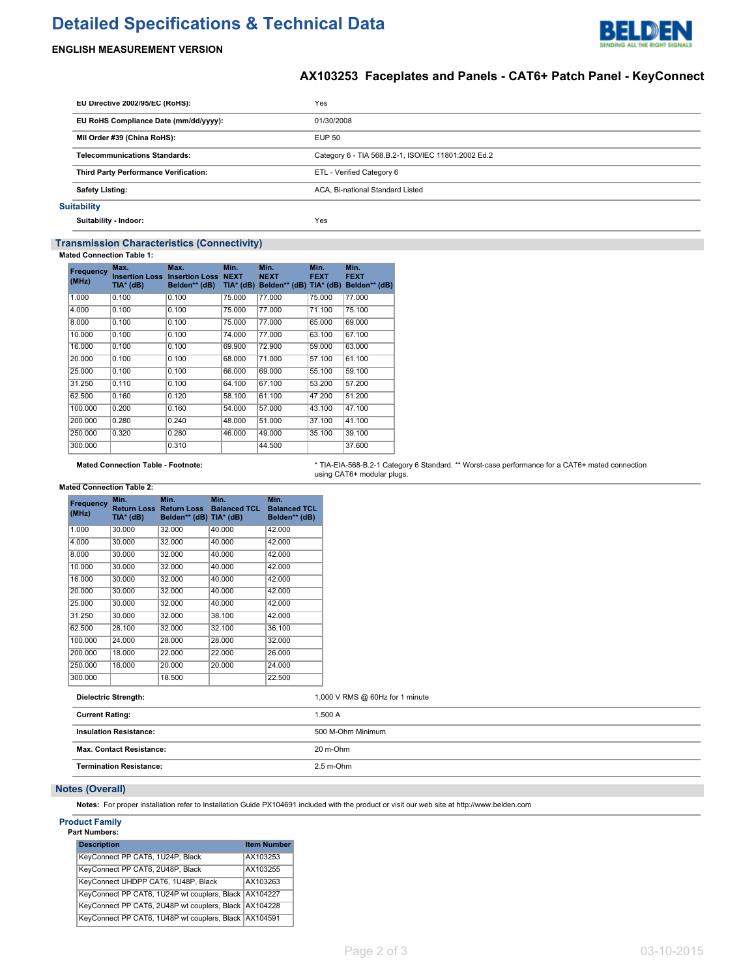# **Detailed Specifications & Technical Data**



### **ENGLISH MEASUREMENT VERSION**

## **AX103253 Faceplates and Panels - CAT6+ Patch Panel - KeyConnect**

|                                                                                             | EU Directive 2002/95/EC (RoHS):              | Yes                              |
|---------------------------------------------------------------------------------------------|----------------------------------------------|----------------------------------|
| EU RoHS Compliance Date (mm/dd/yyyy):                                                       |                                              | 01/30/2008                       |
| MII Order #39 (China RoHS):<br><b>EUP 50</b>                                                |                                              |                                  |
| <b>Telecommunications Standards:</b><br>Category 6 - TIA 568.B.2-1, ISO/IEC 11801:2002 Ed.2 |                                              |                                  |
|                                                                                             | <b>Third Party Performance Verification:</b> | ETL - Verified Category 6        |
|                                                                                             | <b>Safety Listing:</b>                       | ACA, Bi-national Standard Listed |
|                                                                                             | <b>Suitability</b>                           |                                  |

#### **Suitability - Indoor:** Yes

# **Transmission Characteristics (Connectivity)**

### **Mated Connection Table 1:**

| Frequency<br>(MHz) | Max.<br>TIA* (dB) | Max.<br><b>Insertion Loss Insertion Loss</b><br>Belden** (dB) | Min.<br><b>NEXT</b><br>$TIA*$ (dB) | Min.<br><b>NEXT</b><br>Belden** (dB) TIA* (dB) | Min.<br><b>FEXT</b> | Min.<br><b>FEXT</b><br>Belden** (dB) |
|--------------------|-------------------|---------------------------------------------------------------|------------------------------------|------------------------------------------------|---------------------|--------------------------------------|
| 1.000              | 0.100             | 0.100                                                         | 75.000                             | 77.000                                         | 75.000              | 77.000                               |
| 4.000              | 0.100             | 0.100                                                         | 75,000                             | 77.000                                         | 71.100              | 75.100                               |
| 8.000              | 0.100             | 0.100                                                         | 75.000                             | 77.000                                         | 65.000              | 69.000                               |
| 10.000             | 0.100             | 0.100                                                         | 74.000                             | 77.000                                         | 63.100              | 67.100                               |
| 16.000             | 0.100             | 0.100                                                         | 69.900                             | 72.900                                         | 59.000              | 63.000                               |
| 20,000             | 0.100             | 0.100                                                         | 68.000                             | 71.000                                         | 57.100              | 61.100                               |
| 25.000             | 0.100             | 0.100                                                         | 66,000                             | 69.000                                         | 55.100              | 59.100                               |
| 31.250             | 0.110             | 0.100                                                         | 64.100                             | 67.100                                         | 53.200              | 57.200                               |
| 62.500             | 0.160             | 0.120                                                         | 58.100                             | 61.100                                         | 47.200              | 51.200                               |
| 100.000            | 0.200             | 0.160                                                         | 54.000                             | 57.000                                         | 43.100              | 47.100                               |
| 200.000            | 0.280             | 0.240                                                         | 48.000                             | 51.000                                         | 37.100              | 41.100                               |
| 250.000            | 0.320             | 0.280                                                         | 46.000                             | 49.000                                         | 35.100              | 39.100                               |
| 300.000            |                   | 0.310                                                         |                                    | 44.500                                         |                     | 37.600                               |

**Mated Connection Table - Footnote:** \* TIA-EIA-568-B.2-1 Category 6 Standard. \*\* Worst-case performance for a CAT6+ mated connection using CAT6+ modular plugs.

### **Mated Connection Table 2:**

| Frequency<br>(MHz) | Min.<br>TIA* (dB) | Min.<br><b>Return Loss Return Loss</b><br>Belden** (dB) TIA* (dB) | Min.<br><b>Balanced TCL</b> | Min.<br><b>Balanced TCL</b><br>Belden** (dB) |
|--------------------|-------------------|-------------------------------------------------------------------|-----------------------------|----------------------------------------------|
| 1.000              | 30.000            | 32.000                                                            | 40.000                      | 42.000                                       |
| 4.000              | 30,000            | 32.000                                                            | 40.000                      | 42.000                                       |
| 8.000              | 30,000            | 32.000                                                            | 40.000                      | 42.000                                       |
| 10.000             | 30,000            | 32.000                                                            | 40.000                      | 42.000                                       |
| 16.000             | 30.000            | 32.000                                                            | 40.000                      | 42.000                                       |
| 20.000             | 30.000            | 32.000                                                            | 40.000                      | 42.000                                       |
| 25.000             | 30,000            | 32.000                                                            | 40.000                      | 42.000                                       |
| 31.250             | 30.000            | 32.000                                                            | 38.100                      | 42.000                                       |
| 62.500             | 28.100            | 32.000                                                            | 32.100                      | 36.100                                       |
| 100.000            | 24.000            | 28.000                                                            | 28,000                      | 32.000                                       |
| 200.000            | 18.000            | 22.000                                                            | 22.000                      | 26.000                                       |
| 250.000            | 16.000            | 20.000                                                            | 20,000                      | 24.000                                       |
| 300.000            |                   | 18.500                                                            |                             | 22.500                                       |

| <b>Dielectric Strength:</b>     | 1,000 V RMS @ 60Hz for 1 minute |  |
|---------------------------------|---------------------------------|--|
| <b>Current Rating:</b>          | 1.500 A                         |  |
| <b>Insulation Resistance:</b>   | 500 M-Ohm Minimum               |  |
| <b>Max. Contact Resistance:</b> | 20 m-Ohm                        |  |
| <b>Termination Resistance:</b>  | $2.5$ m-Ohm                     |  |
|                                 |                                 |  |

### **Notes (Overall)**

**Notes:** For proper installation refer to Installation Guide PX104691 included with the product or visit our web site at http://www.belden.com

#### **Product Family Part Numbers:**

| <b>Description</b>                                      | <b>Item Number</b> |
|---------------------------------------------------------|--------------------|
| KeyConnect PP CAT6, 1U24P, Black                        | AX103253           |
| KeyConnect PP CAT6, 2U48P, Black                        | AX103255           |
| KeyConnect UHDPP CAT6, 1U48P, Black                     | AX103263           |
| KeyConnect PP CAT6, 1U24P wt couplers, Black   AX104227 |                    |
| KeyConnect PP CAT6, 2U48P wt couplers, Black   AX104228 |                    |
| KeyConnect PP CAT6, 1U48P wt couplers, Black   AX104591 |                    |